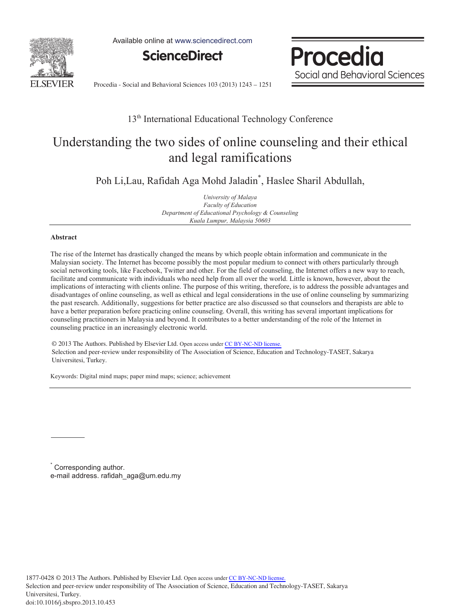

Available online at www.sciencedirect.com



Procedia Social and Behavioral Sciences

Procedia - Social and Behavioral Sciences 103 ( 2013 ) 1243 – 1251

# 13<sup>th</sup> International Educational Technology Conference

# Understanding the two sides of online counseling and their ethical and legal ramifications

Poh Li,Lau, Rafidah Aga Mohd Jaladin\* , Haslee Sharil Abdullah,

*University of Malaya Faculty of Education Department of Educational Psychology & Counseling Kuala Lumpur, Malaysia 50603* 

# **Abstract**

The rise of the Internet has drastically changed the means by which people obtain information and communicate in the Malaysian society. The Internet has become possibly the most popular medium to connect with others particularly through social networking tools, like Facebook, Twitter and other. For the field of counseling, the Internet offers a new way to reach, facilitate and communicate with individuals who need help from all over the world. Little is known, however, about the implications of interacting with clients online. The purpose of this writing, therefore, is to address the possible advantages and disadvantages of online counseling, as well as ethical and legal considerations in the use of online counseling by summarizing the past research. Additionally, suggestions for better practice are also discussed so that counselors and therapists are able to have a better preparation before practicing online counseling. Overall, this writing has several important implications for counseling practitioners in Malaysia and beyond. It contributes to a better understanding of the role of the Internet in counseling practice in an increasingly electronic world.

© 2013 The Authors. Published by Elsevier Ltd. © 2013 The Authors. Published by Elsevier Ltd. Open access under [CC BY-NC-ND license.](http://creativecommons.org/licenses/by-nc-nd/3.0/) Selection and peer-review under responsibility of The Association of Science, Education and Technology-TASET, Sakarya Universitesi, Turkey. Universitesi, Turkey.

Keywords: Digital mind maps; paper mind maps; science; achievement

\* Corresponding author. e-mail address. rafidah\_aga@um.edu.my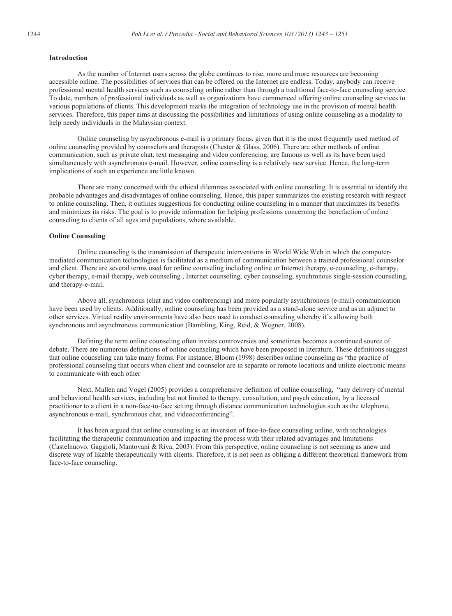# **Introduction**

As the number of Internet users across the globe continues to rise, more and more resources are becoming accessible online. The possibilities of services that can be offered on the Internet are endless. Today, anybody can receive professional mental health services such as counseling online rather than through a traditional face-to-face counseling service. To date, numbers of professional individuals as well as organizations have commenced offering online counseling services to various populations of clients. This development marks the integration of technology use in the provision of mental health services. Therefore, this paper aims at discussing the possibilities and limitations of using online counseling as a modality to help needy individuals in the Malaysian context.

Online counseling by asynchronous e-mail is a primary focus, given that it is the most frequently used method of online counseling provided by counselors and therapists (Chester & Glass, 2006). There are other methods of online communication, such as private chat, text messaging and video conferencing, are famous as well as its have been used simultaneously with asynchronous e-mail. However, online counseling is a relatively new service. Hence, the long-term implications of such an experience are little known.

There are many concerned with the ethical dilemmas associated with online counseling. It is essential to identify the probable advantages and disadvantages of online counseling. Hence, this paper summarizes the existing research with respect to online counseling. Then, it outlines suggestions for conducting online counseling in a manner that maximizes its benefits and minimizes its risks. The goal is to provide information for helping professions concerning the benefaction of online counseling to clients of all ages and populations, where available.

## **Online Counseling**

Online counseling is the transmission of therapeutic interventions in World Wide Web in which the computermediated communication technologies is facilitated as a medium of communication between a trained professional counselor and client. There are several terms used for online counseling including online or Internet therapy, e-counseling, e-therapy, cyber therapy, e-mail therapy, web counseling , Internet counseling, cyber counseling, synchronous single-session counseling, and therapy-e-mail.

Above all, synchronous (chat and video conferencing) and more popularly asynchronous (e-mail) communication have been used by clients. Additionally, online counseling has been provided as a stand-alone service and as an adjunct to other services. Virtual reality environments have also been used to conduct counseling whereby it's allowing both synchronous and asynchronous communication (Bambling, King, Reid, & Wegner, 2008).

Defining the term online counseling often invites controversies and sometimes becomes a continued source of debate. There are numerous definitions of online counseling which have been proposed in literature. These definitions suggest that online counseling can take many forms. For instance, Bloom (1998) describes online counseling as "the practice of professional counseling that occurs when client and counselor are in separate or remote locations and utilize electronic means to communicate with each other

Next, Mallen and Vogel (2005) provides a comprehensive definition of online counseling, "any delivery of mental and behavioral health services, including but not limited to therapy, consultation, and psych education, by a licensed practitioner to a client in a non-face-to-face setting through distance communication technologies such as the telephone, asynchronous e-mail, synchronous chat, and videoconferencing".

It has been argued that online counseling is an inversion of face-to-face counseling online, with technologies facilitating the therapeutic communication and impacting the process with their related advantages and limitations (Castelnuovo, Gaggioli, Mantovani & Riva, 2003). From this perspective, online counseling is not seeming as anew and discrete way of likable therapeutically with clients. Therefore, it is not seen as obliging a different theoretical framework from face-to-face counseling.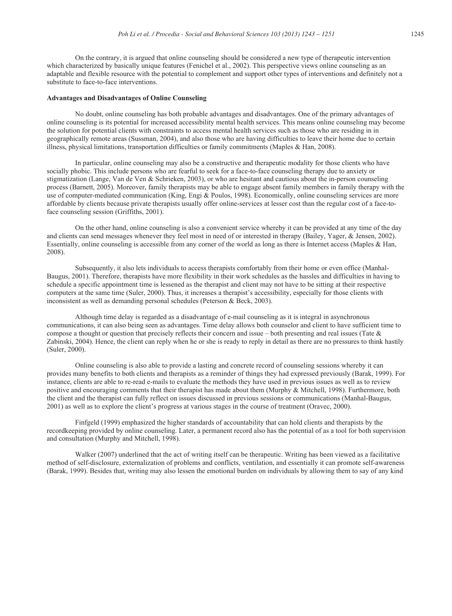On the contrary, it is argued that online counseling should be considered a new type of therapeutic intervention which characterized by basically unique features (Fenichel et al., 2002). This perspective views online counseling as an adaptable and flexible resource with the potential to complement and support other types of interventions and definitely not a substitute to face-to-face interventions.

#### **Advantages and Disadvantages of Online Counseling**

No doubt, online counseling has both probable advantages and disadvantages. One of the primary advantages of online counseling is its potential for increased accessibility mental health services. This means online counseling may become the solution for potential clients with constraints to access mental health services such as those who are residing in in geographically remote areas (Sussman, 2004), and also those who are having difficulties to leave their home due to certain illness, physical limitations, transportation difficulties or family commitments (Maples & Han, 2008).

In particular, online counseling may also be a constructive and therapeutic modality for those clients who have socially phobic. This include persons who are fearful to seek for a face-to-face counseling therapy due to anxiety or stigmatization (Lange, Van de Ven & Schrieken, 2003), or who are hesitant and cautious about the in-person counseling process (Barnett, 2005). Moreover, family therapists may be able to engage absent family members in family therapy with the use of computer-mediated communication (King, Engi & Poulos, 1998). Economically, online counseling services are more affordable by clients because private therapists usually offer online-services at lesser cost than the regular cost of a face-toface counseling session (Griffiths, 2001).

On the other hand, online counseling is also a convenient service whereby it can be provided at any time of the day and clients can send messages whenever they feel most in need of or interested in therapy (Bailey, Yager, & Jensen, 2002). Essentially, online counseling is accessible from any corner of the world as long as there is Internet access (Maples & Han, 2008).

Subsequently, it also lets individuals to access therapists comfortably from their home or even office (Manhal-Baugus, 2001). Therefore, therapists have more flexibility in their work schedules as the hassles and difficulties in having to schedule a specific appointment time is lessened as the therapist and client may not have to be sitting at their respective computers at the same time (Suler, 2000). Thus, it increases a therapist's accessibility, especially for those clients with inconsistent as well as demanding personal schedules (Peterson & Beck, 2003).

Although time delay is regarded as a disadvantage of e-mail counseling as it is integral in asynchronous communications, it can also being seen as advantages. Time delay allows both counselor and client to have sufficient time to compose a thought or question that precisely reflects their concern and issue – both presenting and real issues (Tate  $\&$ Zabinski, 2004). Hence, the client can reply when he or she is ready to reply in detail as there are no pressures to think hastily (Suler, 2000).

Online counseling is also able to provide a lasting and concrete record of counseling sessions whereby it can provides many benefits to both clients and therapists as a reminder of things they had expressed previously (Barak, 1999). For instance, clients are able to re-read e-mails to evaluate the methods they have used in previous issues as well as to review positive and encouraging comments that their therapist has made about them (Murphy & Mitchell, 1998). Furthermore, both the client and the therapist can fully reflect on issues discussed in previous sessions or communications (Manhal-Baugus, 2001) as well as to explore the client's progress at various stages in the course of treatment (Oravec, 2000).

Finfgeld (1999) emphasized the higher standards of accountability that can hold clients and therapists by the recordkeeping provided by online counseling. Later, a permanent record also has the potential of as a tool for both supervision and consultation (Murphy and Mitchell, 1998).

Walker (2007) underlined that the act of writing itself can be therapeutic. Writing has been viewed as a facilitative method of self-disclosure, externalization of problems and conflicts, ventilation, and essentially it can promote self-awareness (Barak, 1999). Besides that, writing may also lessen the emotional burden on individuals by allowing them to say of any kind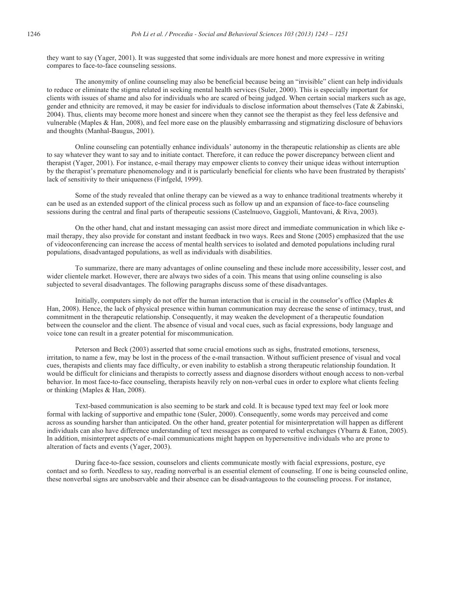they want to say (Yager, 2001). It was suggested that some individuals are more honest and more expressive in writing compares to face-to-face counseling sessions.

The anonymity of online counseling may also be beneficial because being an "invisible" client can help individuals to reduce or eliminate the stigma related in seeking mental health services (Suler, 2000). This is especially important for clients with issues of shame and also for individuals who are scared of being judged. When certain social markers such as age, gender and ethnicity are removed, it may be easier for individuals to disclose information about themselves (Tate & Zabinski, 2004). Thus, clients may become more honest and sincere when they cannot see the therapist as they feel less defensive and vulnerable (Maples & Han, 2008), and feel more ease on the plausibly embarrassing and stigmatizing disclosure of behaviors and thoughts (Manhal-Baugus, 2001).

Online counseling can potentially enhance individuals' autonomy in the therapeutic relationship as clients are able to say whatever they want to say and to initiate contact. Therefore, it can reduce the power discrepancy between client and therapist (Yager, 2001). For instance, e-mail therapy may empower clients to convey their unique ideas without interruption by the therapist's premature phenomenology and it is particularly beneficial for clients who have been frustrated by therapists' lack of sensitivity to their uniqueness (Finfgeld, 1999).

Some of the study revealed that online therapy can be viewed as a way to enhance traditional treatments whereby it can be used as an extended support of the clinical process such as follow up and an expansion of face-to-face counseling sessions during the central and final parts of therapeutic sessions (Castelnuovo, Gaggioli, Mantovani, & Riva, 2003).

On the other hand, chat and instant messaging can assist more direct and immediate communication in which like email therapy, they also provide for constant and instant feedback in two ways. Rees and Stone (2005) emphasized that the use of videoconferencing can increase the access of mental health services to isolated and demoted populations including rural populations, disadvantaged populations, as well as individuals with disabilities.

To summarize, there are many advantages of online counseling and these include more accessibility, lesser cost, and wider clientele market. However, there are always two sides of a coin. This means that using online counseling is also subjected to several disadvantages. The following paragraphs discuss some of these disadvantages.

Initially, computers simply do not offer the human interaction that is crucial in the counselor's office (Maples & Han, 2008). Hence, the lack of physical presence within human communication may decrease the sense of intimacy, trust, and commitment in the therapeutic relationship. Consequently, it may weaken the development of a therapeutic foundation between the counselor and the client. The absence of visual and vocal cues, such as facial expressions, body language and voice tone can result in a greater potential for miscommunication.

Peterson and Beck (2003) asserted that some crucial emotions such as sighs, frustrated emotions, terseness, irritation, to name a few, may be lost in the process of the e-mail transaction. Without sufficient presence of visual and vocal cues, therapists and clients may face difficulty, or even inability to establish a strong therapeutic relationship foundation. It would be difficult for clinicians and therapists to correctly assess and diagnose disorders without enough access to non-verbal behavior. In most face-to-face counseling, therapists heavily rely on non-verbal cues in order to explore what clients feeling or thinking (Maples & Han, 2008).

Text-based communication is also seeming to be stark and cold. It is because typed text may feel or look more formal with lacking of supportive and empathic tone (Suler, 2000). Consequently, some words may perceived and come across as sounding harsher than anticipated. On the other hand, greater potential for misinterpretation will happen as different individuals can also have difference understanding of text messages as compared to verbal exchanges (Ybarra & Eaton, 2005). In addition, misinterpret aspects of e-mail communications might happen on hypersensitive individuals who are prone to alteration of facts and events (Yager, 2003).

During face-to-face session, counselors and clients communicate mostly with facial expressions, posture, eye contact and so forth. Needless to say, reading nonverbal is an essential element of counseling. If one is being counseled online, these nonverbal signs are unobservable and their absence can be disadvantageous to the counseling process. For instance,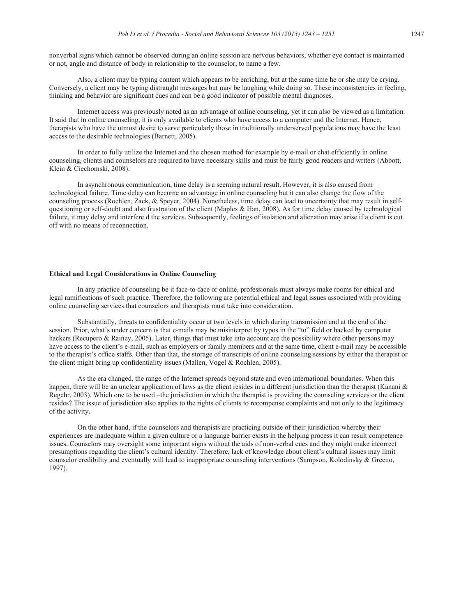nonverbal signs which cannot be observed during an online session are nervous behaviors, whether eye contact is maintained or not, angle and distance of body in relationship to the counselor, to name a few.

Also, a client may be typing content which appears to be enriching, but at the same time he or she may be crying. Conversely, a client may be typing distraught messages but may be laughing while doing so. These inconsistencies in feeling, thinking and behavior are significant cues and can be a good indicator of possible mental diagnoses.

Internet access was previously noted as an advantage of online counseling, yet it can also be viewed as a limitation. It said that in online counseling, it is only available to clients who have access to a computer and the Internet. Hence, therapists who have the utmost desire to serve particularly those in traditionally underserved populations may have the least access to the desirable technologies (Barnett, 2005).

In order to fully utilize the Internet and the chosen method for example by e-mail or chat efficiently in online counseling, clients and counselors are required to have necessary skills and must be fairly good readers and writers (Abbott, Klein & Ciechomski, 2008).

In asynchronous communication, time delay is a seeming natural result. However, it is also caused from technological failure. Time delay can become an advantage in online counseling but it can also change the flow of the counseling process (Rochlen, Zack, & Speyer, 2004). Nonetheless, time delay can lead to uncertainty that may result in selfquestioning or self-doubt and also frustration of the client (Maples  $\&$  Han, 2008). As for time delay caused by technological failure, it may delay and interfere d the services. Subsequently, feelings of isolation and alienation may arise if a client is cut off with no means of reconnection.

#### **Ethical and Legal Considerations in Online Counseling**

In any practice of counseling be it face-to-face or online, professionals must always make rooms for ethical and legal ramifications of such practice. Therefore, the following are potential ethical and legal issues associated with providing online counseling services that counselors and therapists must take into consideration.

Substantially, threats to confidentiality occur at two levels in which during transmission and at the end of the session. Prior, what's under concern is that e-mails may be misinterpret by typos in the "to" field or hacked by computer hackers (Recupero & Rainey, 2005). Later, things that must take into account are the possibility where other persons may have access to the client's e-mail, such as employers or family members and at the same time, client e-mail may be accessible to the therapist's office staffs. Other than that, the storage of transcripts of online counseling sessions by either the therapist or the client might bring up confidentiality issues (Mallen, Vogel & Rochlen, 2005).

As the era changed, the range of the Internet spreads beyond state and even international boundaries. When this happen, there will be an unclear application of laws as the client resides in a different jurisdiction than the therapist (Kanani & Regehr, 2003). Which one to be used –the jurisdiction in which the therapist is providing the counseling services or the client resides? The issue of jurisdiction also applies to the rights of clients to recompense complaints and not only to the legitimacy of the activity.

On the other hand, if the counselors and therapists are practicing outside of their jurisdiction whereby their experiences are inadequate within a given culture or a language barrier exists in the helping process it can result competence issues. Counselors may oversight some important signs without the aids of non-verbal cues and they might make incorrect presumptions regarding the client's cultural identity. Therefore, lack of knowledge about client's cultural issues may limit counselor credibility and eventually will lead to inappropriate counseling interventions (Sampson, Kolodinsky & Greeno, 1997).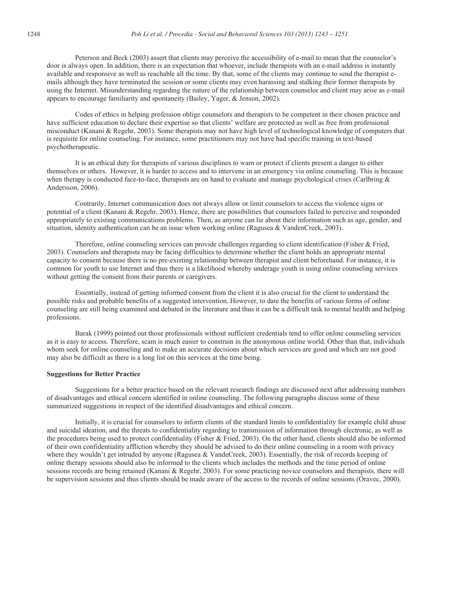Peterson and Beck (2003) assert that clients may perceive the accessibility of e-mail to mean that the counselor's door is always open. In addition, there is an expectation that whoever, include therapists with an e-mail address is instantly available and responsive as well as reachable all the time. By that, some of the clients may continue to send the therapist emails although they have terminated the session or some clients may even harassing and stalking their former therapists by using the Internet. Misunderstanding regarding the nature of the relationship between counselor and client may arise as e-mail appears to encourage familiarity and spontaneity (Bailey, Yager, & Jenson, 2002).

Codes of ethics in helping profession oblige counselors and therapists to be competent in their chosen practice and have sufficient education to declare their expertise so that clients' welfare are protected as well as free from professional misconduct (Kanani & Regehr, 2003). Some therapists may not have high level of technological knowledge of computers that is requisite for online counseling. For instance, some practitioners may not have had specific training in text-based psychotherapeutic.

It is an ethical duty for therapists of various disciplines to warn or protect if clients present a danger to either themselves or others. However, it is harder to access and to intervene in an emergency via online counseling. This is because when therapy is conducted face-to-face, therapists are on hand to evaluate and manage psychological crises (Carlbring  $\&$ Andersson, 2006).

Contrarily, Internet communication does not always allow or limit counselors to access the violence signs or potential of a client (Kanani & Regehr, 2003). Hence, there are possibilities that counselors failed to perceive and responded appropriately to existing communications problems. Then, as anyone can lie about their information such as age, gender, and situation, identity authentication can be an issue when working online (Ragusea & VandenCreek, 2003).

Therefore, online counseling services can provide challenges regarding to client identification (Fisher & Fried, 2003). Counselors and therapists may be facing difficulties to determine whether the client holds an appropriate mental capacity to consent because there is no pre-existing relationship between therapist and client beforehand. For instance, it is common for youth to use Internet and thus there is a likelihood whereby underage youth is using online counseling services without getting the consent from their parents or caregivers.

Essentially, instead of getting informed consent from the client it is also crucial for the client to understand the possible risks and probable benefits of a suggested intervention. However, to date the benefits of various forms of online counseling are still being examined and debated in the literature and thus it can be a difficult task to mental health and helping professions.

Barak (1999) pointed out those professionals without sufficient credentials tend to offer online counseling services as it is easy to access. Therefore, scam is much easier to constrain in the anonymous online world. Other than that, individuals whom seek for online counseling and to make an accurate decisions about which services are good and which are not good may also be difficult as there is a long list on this services at the time being.

### **Suggestions for Better Practice**

Suggestions for a better practice based on the relevant research findings are discussed next after addressing numbers of disadvantages and ethical concern identified in online counseling. The following paragraphs discuss some of these summarized suggestions in respect of the identified disadvantages and ethical concern.

Initially, it is crucial for counselors to inform clients of the standard limits to confidentiality for example child abuse and suicidal ideation, and the threats to confidentiality regarding to transmission of information through electronic, as well as the procedures being used to protect confidentiality (Fisher & Fried, 2003). On the other hand, clients should also be informed of their own confidentiality affliction whereby they should be advised to do their online counseling in a room with privacy where they wouldn't get intruded by anyone (Ragusea & VandeCreek, 2003). Essentially, the risk of records keeping of online therapy sessions should also be informed to the clients which includes the methods and the time period of online sessions records are being retained (Kanani & Regehr, 2003). For some practicing novice counselors and therapists, there will be supervision sessions and thus clients should be made aware of the access to the records of online sessions (Oravec, 2000).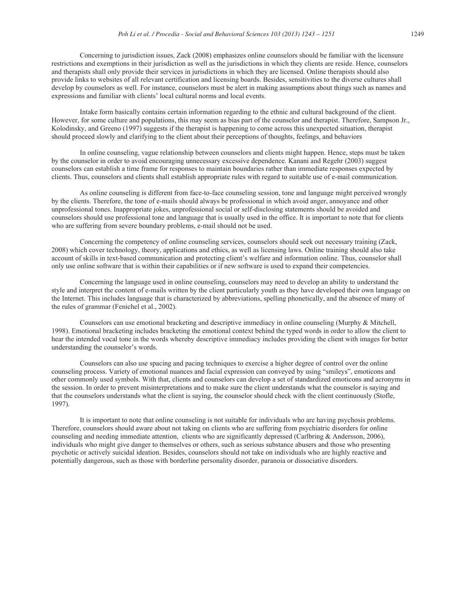Concerning to jurisdiction issues, Zack (2008) emphasizes online counselors should be familiar with the licensure restrictions and exemptions in their jurisdiction as well as the jurisdictions in which they clients are reside. Hence, counselors and therapists shall only provide their services in jurisdictions in which they are licensed. Online therapists should also provide links to websites of all relevant certification and licensing boards. Besides, sensitivities to the diverse cultures shall develop by counselors as well. For instance, counselors must be alert in making assumptions about things such as names and expressions and familiar with clients' local cultural norms and local events.

Intake form basically contains certain information regarding to the ethnic and cultural background of the client. However, for some culture and populations, this may seem as bias part of the counselor and therapist. Therefore, Sampson Jr., Kolodinsky, and Greeno (1997) suggests if the therapist is happening to come across this unexpected situation, therapist should proceed slowly and clarifying to the client about their perceptions of thoughts, feelings, and behaviors

In online counseling, vague relationship between counselors and clients might happen. Hence, steps must be taken by the counselor in order to avoid encouraging unnecessary excessive dependence. Kanani and Regehr (2003) suggest counselors can establish a time frame for responses to maintain boundaries rather than immediate responses expected by clients. Thus, counselors and clients shall establish appropriate rules with regard to suitable use of e-mail communication.

As online counseling is different from face-to-face counseling session, tone and language might perceived wrongly by the clients. Therefore, the tone of e-mails should always be professional in which avoid anger, annoyance and other unprofessional tones. Inappropriate jokes, unprofessional social or self-disclosing statements should be avoided and counselors should use professional tone and language that is usually used in the office. It is important to note that for clients who are suffering from severe boundary problems, e-mail should not be used.

Concerning the competency of online counseling services, counselors should seek out necessary training (Zack, 2008) which cover technology, theory, applications and ethics, as well as licensing laws. Online training should also take account of skills in text-based communication and protecting client's welfare and information online. Thus, counselor shall only use online software that is within their capabilities or if new software is used to expand their competencies.

Concerning the language used in online counseling, counselors may need to develop an ability to understand the style and interpret the content of e-mails written by the client particularly youth as they have developed their own language on the Internet. This includes language that is characterized by abbreviations, spelling phonetically, and the absence of many of the rules of grammar (Fenichel et al., 2002).

Counselors can use emotional bracketing and descriptive immediacy in online counseling (Murphy & Mitchell, 1998). Emotional bracketing includes bracketing the emotional context behind the typed words in order to allow the client to hear the intended vocal tone in the words whereby descriptive immediacy includes providing the client with images for better understanding the counselor's words.

Counselors can also use spacing and pacing techniques to exercise a higher degree of control over the online counseling process. Variety of emotional nuances and facial expression can conveyed by using "smileys", emoticons and other commonly used symbols. With that, clients and counselors can develop a set of standardized emoticons and acronyms in the session. In order to prevent misinterpretations and to make sure the client understands what the counselor is saying and that the counselors understands what the client is saying, the counselor should check with the client continuously (Stofle, 1997).

It is important to note that online counseling is not suitable for individuals who are having psychosis problems. Therefore, counselors should aware about not taking on clients who are suffering from psychiatric disorders for online counseling and needing immediate attention, clients who are significantly depressed (Carlbring & Andersson, 2006), individuals who might give danger to themselves or others, such as serious substance abusers and those who presenting psychotic or actively suicidal ideation. Besides, counselors should not take on individuals who are highly reactive and potentially dangerous, such as those with borderline personality disorder, paranoia or dissociative disorders.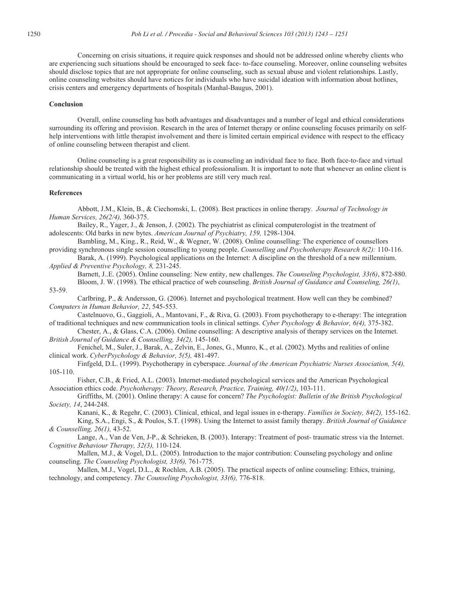Concerning on crisis situations, it require quick responses and should not be addressed online whereby clients who are experiencing such situations should be encouraged to seek face- to-face counseling. Moreover, online counseling websites should disclose topics that are not appropriate for online counseling, such as sexual abuse and violent relationships. Lastly, online counseling websites should have notices for individuals who have suicidal ideation with information about hotlines, crisis centers and emergency departments of hospitals (Manhal-Baugus, 2001).

# **Conclusion**

Overall, online counseling has both advantages and disadvantages and a number of legal and ethical considerations surrounding its offering and provision. Research in the area of Internet therapy or online counseling focuses primarily on selfhelp interventions with little therapist involvement and there is limited certain empirical evidence with respect to the efficacy of online counseling between therapist and client.

Online counseling is a great responsibility as is counseling an individual face to face. Both face-to-face and virtual relationship should be treated with the highest ethical professionalism. It is important to note that whenever an online client is communicating in a virtual world, his or her problems are still very much real.

#### **References**

Abbott, J.M., Klein, B., & Ciechomski, L. (2008). Best practices in online therapy. *Journal of Technology in Human Services, 26(2/4),* 360-375.

Bailey, R., Yager, J., & Jenson, J. (2002). The psychiatrist as clinical computerologist in the treatment of adolescents: Old barks in new bytes. *American Journal of Psychiatry, 159,* 1298-1304.

Bambling, M., King., R., Reid, W., & Wegner, W. (2008). Online counselling: The experience of counsellors providing synchronous single session counselling to young people. *Counselling and Psychotherapy Research 8(2):* 110-116.

Barak, A. (1999). Psychological applications on the Internet: A discipline on the threshold of a new millennium. *Applied & Preventive Psychology, 8,* 231-245.

Barnett, J..E. (2005). Online counseling: New entity, new challenges. *The Counseling Psychologist, 33(6)*, 872-880. Bloom, J. W. (1998). The ethical practice of web counseling. *British Journal of Guidance and Counseling, 26(1)*,

53-59.

Carlbring, P., & Andersson, G. (2006). Internet and psychological treatment. How well can they be combined? *Computers in Human Behavior, 22*, 545-553.

Castelnuovo, G., Gaggioli, A., Mantovani, F., & Riva, G. (2003). From psychotherapy to e-therapy: The integration of traditional techniques and new communication tools in clinical settings. *Cyber Psychology & Behavior, 6(4),* 375-382.

Chester, A., & Glass, C.A. (2006). Online counselling: A descriptive analysis of therapy services on the Internet. *British Journal of Guidance & Counselling, 34(2),* 145-160.

Fenichel, M., Suler, J., Barak, A., Zelvin, E., Jones, G., Munro, K., et al. (2002). Myths and realities of online clinical work. *CyberPsychology & Behavior, 5(5),* 481-497.

Finfgeld, D.L. (1999). Psychotherapy in cyberspace. *Journal of the American Psychiatric Nurses Association, 5(4),* 105-110.

Fisher, C.B., & Fried, A.L. (2003). Internet-mediated psychological services and the American Psychological Association ethics code. *Psychotherapy: Theory, Research, Practice, Training, 40(1/2)*, 103-111.

Griffiths, M. (2001). Online therapy: A cause for concern? *The Psychologist: Bulletin of the British Psychological Society, 14*, 244-248.

Kanani, K., & Regehr, C. (2003). Clinical, ethical, and legal issues in e-therapy. *Families in Society, 84(2),* 155-162. King, S.A., Engi, S., & Poulos, S.T. (1998). Using the Internet to assist family therapy. *British Journal of Guidance & Counselling, 26(1),* 43-52.

Lange, A., Van de Ven, J-P., & Schrieken, B. (2003). Interapy: Treatment of post- traumatic stress via the Internet. *Cognitive Behaviour Therapy, 32(3),* 110-124.

Mallen, M.J., & Vogel, D.L. (2005). Introduction to the major contribution: Counseling psychology and online counseling. *The Counseling Psychologist, 33(6),* 761-775.

Mallen, M.J., Vogel, D.L., & Rochlen, A.B. (2005). The practical aspects of online counseling: Ethics, training, technology, and competency. *The Counseling Psychologist, 33(6),* 776-818.